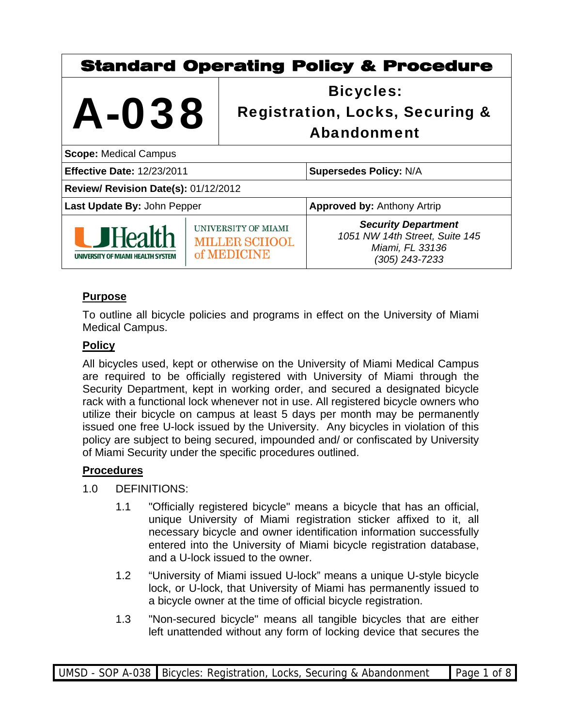| <b>Standard Operating Policy &amp; Procedure</b>     |  |                                                                                      |                                                                                                   |
|------------------------------------------------------|--|--------------------------------------------------------------------------------------|---------------------------------------------------------------------------------------------------|
| A-038                                                |  | <b>Bicycles:</b><br><b>Registration, Locks, Securing &amp;</b><br><b>Abandonment</b> |                                                                                                   |
| <b>Scope: Medical Campus</b>                         |  |                                                                                      |                                                                                                   |
| <b>Effective Date: 12/23/2011</b>                    |  |                                                                                      | <b>Supersedes Policy: N/A</b>                                                                     |
| Review/ Revision Date(s): 01/12/2012                 |  |                                                                                      |                                                                                                   |
| Last Update By: John Pepper                          |  |                                                                                      | <b>Approved by: Anthony Artrip</b>                                                                |
| <b>U</b> Health<br>UNIVERSITY OF MIAMI HEALTH SYSTEM |  | UNIVERSITY OF MIAMI<br><b>MILLER SCHOOL</b><br>of MEDICINE                           | <b>Security Department</b><br>1051 NW 14th Street, Suite 145<br>Miami, FL 33136<br>(305) 243-7233 |

## **Purpose**

To outline all bicycle policies and programs in effect on the University of Miami Medical Campus.

## **Policy**

All bicycles used, kept or otherwise on the University of Miami Medical Campus are required to be officially registered with University of Miami through the Security Department, kept in working order, and secured a designated bicycle rack with a functional lock whenever not in use. All registered bicycle owners who utilize their bicycle on campus at least 5 days per month may be permanently issued one free U-lock issued by the University. Any bicycles in violation of this policy are subject to being secured, impounded and/ or confiscated by University of Miami Security under the specific procedures outlined.

## **Procedures**

- 1.0 DEFINITIONS:
	- 1.1 "Officially registered bicycle" means a bicycle that has an official, unique University of Miami registration sticker affixed to it, all necessary bicycle and owner identification information successfully entered into the University of Miami bicycle registration database, and a U-lock issued to the owner.
	- 1.2 "University of Miami issued U-lock" means a unique U-style bicycle lock, or U-lock, that University of Miami has permanently issued to a bicycle owner at the time of official bicycle registration.
	- 1.3 "Non-secured bicycle" means all tangible bicycles that are either left unattended without any form of locking device that secures the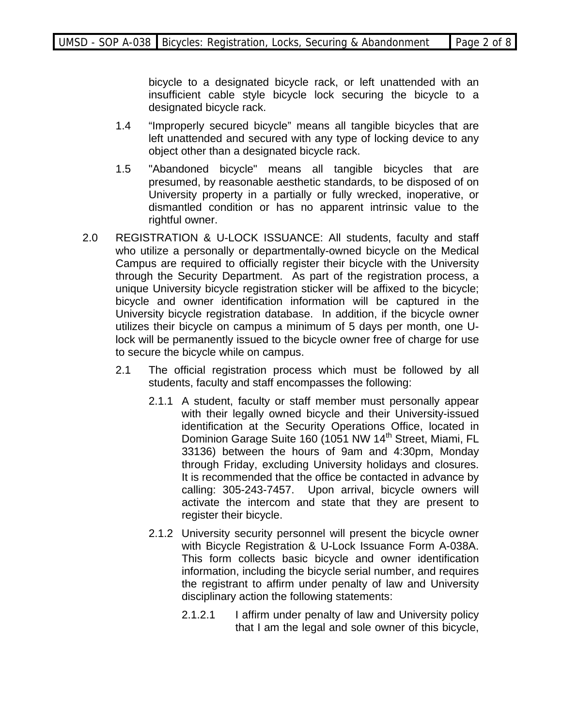bicycle to a designated bicycle rack, or left unattended with an insufficient cable style bicycle lock securing the bicycle to a designated bicycle rack.

- 1.4 "Improperly secured bicycle" means all tangible bicycles that are left unattended and secured with any type of locking device to any object other than a designated bicycle rack.
- 1.5 "Abandoned bicycle" means all tangible bicycles that are presumed, by reasonable aesthetic standards, to be disposed of on University property in a partially or fully wrecked, inoperative, or dismantled condition or has no apparent intrinsic value to the rightful owner.
- 2.0 REGISTRATION & U-LOCK ISSUANCE: All students, faculty and staff who utilize a personally or departmentally-owned bicycle on the Medical Campus are required to officially register their bicycle with the University through the Security Department. As part of the registration process, a unique University bicycle registration sticker will be affixed to the bicycle; bicycle and owner identification information will be captured in the University bicycle registration database. In addition, if the bicycle owner utilizes their bicycle on campus a minimum of 5 days per month, one Ulock will be permanently issued to the bicycle owner free of charge for use to secure the bicycle while on campus.
	- 2.1 The official registration process which must be followed by all students, faculty and staff encompasses the following:
		- 2.1.1 A student, faculty or staff member must personally appear with their legally owned bicycle and their University-issued identification at the Security Operations Office, located in Dominion Garage Suite 160 (1051 NW 14<sup>th</sup> Street, Miami, FL 33136) between the hours of 9am and 4:30pm, Monday through Friday, excluding University holidays and closures. It is recommended that the office be contacted in advance by calling: 305-243-7457. Upon arrival, bicycle owners will activate the intercom and state that they are present to register their bicycle.
		- 2.1.2 University security personnel will present the bicycle owner with Bicycle Registration & U-Lock Issuance Form A-038A. This form collects basic bicycle and owner identification information, including the bicycle serial number, and requires the registrant to affirm under penalty of law and University disciplinary action the following statements:
			- 2.1.2.1 I affirm under penalty of law and University policy that I am the legal and sole owner of this bicycle,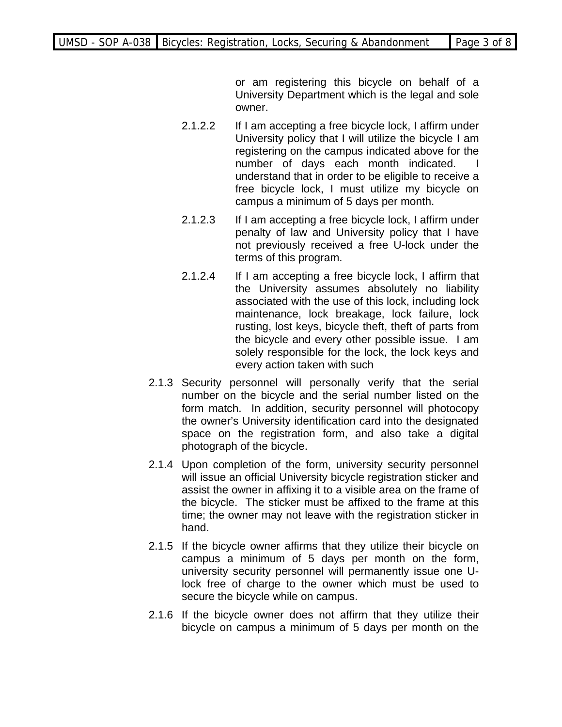or am registering this bicycle on behalf of a University Department which is the legal and sole owner.

- 2.1.2.2 If I am accepting a free bicycle lock, I affirm under University policy that I will utilize the bicycle I am registering on the campus indicated above for the number of days each month indicated. understand that in order to be eligible to receive a free bicycle lock, I must utilize my bicycle on campus a minimum of 5 days per month.
- 2.1.2.3 If I am accepting a free bicycle lock, I affirm under penalty of law and University policy that I have not previously received a free U-lock under the terms of this program.
- 2.1.2.4 If I am accepting a free bicycle lock, I affirm that the University assumes absolutely no liability associated with the use of this lock, including lock maintenance, lock breakage, lock failure, lock rusting, lost keys, bicycle theft, theft of parts from the bicycle and every other possible issue. I am solely responsible for the lock, the lock keys and every action taken with such
- 2.1.3 Security personnel will personally verify that the serial number on the bicycle and the serial number listed on the form match. In addition, security personnel will photocopy the owner's University identification card into the designated space on the registration form, and also take a digital photograph of the bicycle.
- 2.1.4 Upon completion of the form, university security personnel will issue an official University bicycle registration sticker and assist the owner in affixing it to a visible area on the frame of the bicycle. The sticker must be affixed to the frame at this time; the owner may not leave with the registration sticker in hand.
- 2.1.5 If the bicycle owner affirms that they utilize their bicycle on campus a minimum of 5 days per month on the form, university security personnel will permanently issue one Ulock free of charge to the owner which must be used to secure the bicycle while on campus.
- 2.1.6 If the bicycle owner does not affirm that they utilize their bicycle on campus a minimum of 5 days per month on the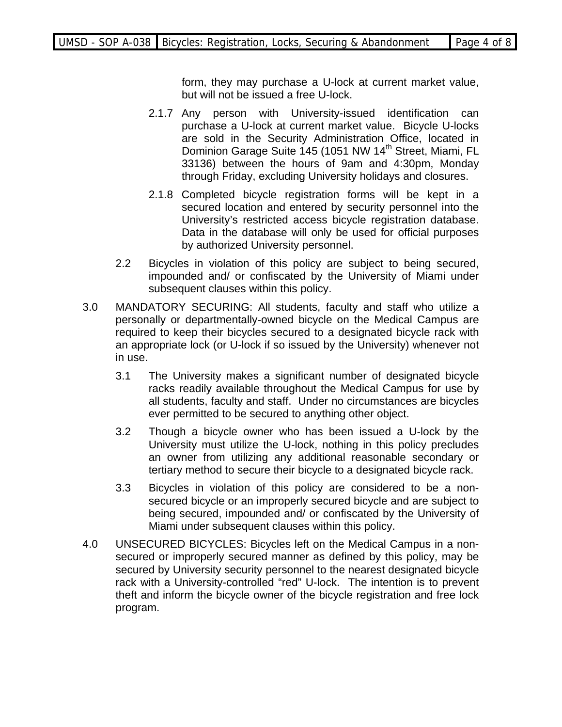form, they may purchase a U-lock at current market value, but will not be issued a free U-lock.

- 2.1.7 Any person with University-issued identification can purchase a U-lock at current market value. Bicycle U-locks are sold in the Security Administration Office, located in Dominion Garage Suite 145 (1051 NW 14<sup>th</sup> Street, Miami, FL 33136) between the hours of 9am and 4:30pm, Monday through Friday, excluding University holidays and closures.
- 2.1.8 Completed bicycle registration forms will be kept in a secured location and entered by security personnel into the University's restricted access bicycle registration database. Data in the database will only be used for official purposes by authorized University personnel.
- 2.2 Bicycles in violation of this policy are subject to being secured, impounded and/ or confiscated by the University of Miami under subsequent clauses within this policy.
- 3.0 MANDATORY SECURING: All students, faculty and staff who utilize a personally or departmentally-owned bicycle on the Medical Campus are required to keep their bicycles secured to a designated bicycle rack with an appropriate lock (or U-lock if so issued by the University) whenever not in use.
	- 3.1 The University makes a significant number of designated bicycle racks readily available throughout the Medical Campus for use by all students, faculty and staff. Under no circumstances are bicycles ever permitted to be secured to anything other object.
	- 3.2 Though a bicycle owner who has been issued a U-lock by the University must utilize the U-lock, nothing in this policy precludes an owner from utilizing any additional reasonable secondary or tertiary method to secure their bicycle to a designated bicycle rack.
	- 3.3 Bicycles in violation of this policy are considered to be a nonsecured bicycle or an improperly secured bicycle and are subject to being secured, impounded and/ or confiscated by the University of Miami under subsequent clauses within this policy.
- 4.0 UNSECURED BICYCLES: Bicycles left on the Medical Campus in a nonsecured or improperly secured manner as defined by this policy, may be secured by University security personnel to the nearest designated bicycle rack with a University-controlled "red" U-lock. The intention is to prevent theft and inform the bicycle owner of the bicycle registration and free lock program.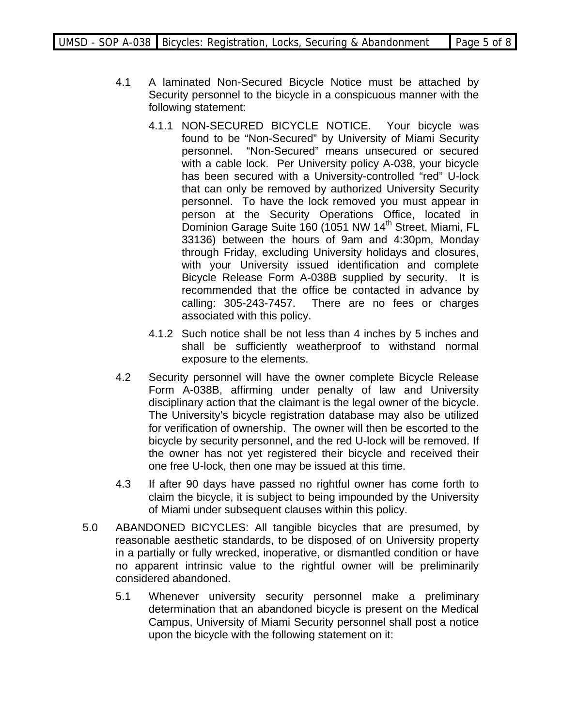- 4.1 A laminated Non-Secured Bicycle Notice must be attached by Security personnel to the bicycle in a conspicuous manner with the following statement:
	- 4.1.1 NON-SECURED BICYCLE NOTICE. Your bicycle was found to be "Non-Secured" by University of Miami Security personnel. "Non-Secured" means unsecured or secured with a cable lock. Per University policy A-038, your bicycle has been secured with a University-controlled "red" U-lock that can only be removed by authorized University Security personnel. To have the lock removed you must appear in person at the Security Operations Office, located in Dominion Garage Suite 160 (1051 NW 14<sup>th</sup> Street, Miami, FL 33136) between the hours of 9am and 4:30pm, Monday through Friday, excluding University holidays and closures, with your University issued identification and complete Bicycle Release Form A-038B supplied by security. It is recommended that the office be contacted in advance by calling: 305-243-7457. There are no fees or charges associated with this policy.
	- 4.1.2 Such notice shall be not less than 4 inches by 5 inches and shall be sufficiently weatherproof to withstand normal exposure to the elements.
- 4.2 Security personnel will have the owner complete Bicycle Release Form A-038B, affirming under penalty of law and University disciplinary action that the claimant is the legal owner of the bicycle. The University's bicycle registration database may also be utilized for verification of ownership. The owner will then be escorted to the bicycle by security personnel, and the red U-lock will be removed. If the owner has not yet registered their bicycle and received their one free U-lock, then one may be issued at this time.
- 4.3 If after 90 days have passed no rightful owner has come forth to claim the bicycle, it is subject to being impounded by the University of Miami under subsequent clauses within this policy.
- 5.0 ABANDONED BICYCLES: All tangible bicycles that are presumed, by reasonable aesthetic standards, to be disposed of on University property in a partially or fully wrecked, inoperative, or dismantled condition or have no apparent intrinsic value to the rightful owner will be preliminarily considered abandoned.
	- 5.1 Whenever university security personnel make a preliminary determination that an abandoned bicycle is present on the Medical Campus, University of Miami Security personnel shall post a notice upon the bicycle with the following statement on it: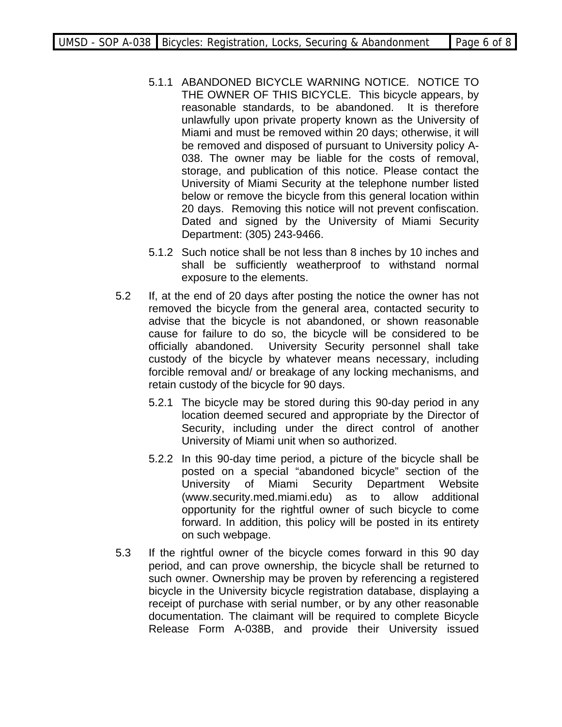- 5.1.1 ABANDONED BICYCLE WARNING NOTICE. NOTICE TO THE OWNER OF THIS BICYCLE. This bicycle appears, by reasonable standards, to be abandoned. It is therefore unlawfully upon private property known as the University of Miami and must be removed within 20 days; otherwise, it will be removed and disposed of pursuant to University policy A-038. The owner may be liable for the costs of removal, storage, and publication of this notice. Please contact the University of Miami Security at the telephone number listed below or remove the bicycle from this general location within 20 days. Removing this notice will not prevent confiscation. Dated and signed by the University of Miami Security Department: (305) 243-9466.
- 5.1.2 Such notice shall be not less than 8 inches by 10 inches and shall be sufficiently weatherproof to withstand normal exposure to the elements.
- 5.2 If, at the end of 20 days after posting the notice the owner has not removed the bicycle from the general area, contacted security to advise that the bicycle is not abandoned, or shown reasonable cause for failure to do so, the bicycle will be considered to be officially abandoned. University Security personnel shall take custody of the bicycle by whatever means necessary, including forcible removal and/ or breakage of any locking mechanisms, and retain custody of the bicycle for 90 days.
	- 5.2.1 The bicycle may be stored during this 90-day period in any location deemed secured and appropriate by the Director of Security, including under the direct control of another University of Miami unit when so authorized.
	- 5.2.2 In this 90-day time period, a picture of the bicycle shall be posted on a special "abandoned bicycle" section of the University of Miami Security Department Website (www.security.med.miami.edu) as to allow additional opportunity for the rightful owner of such bicycle to come forward. In addition, this policy will be posted in its entirety on such webpage.
- 5.3 If the rightful owner of the bicycle comes forward in this 90 day period, and can prove ownership, the bicycle shall be returned to such owner. Ownership may be proven by referencing a registered bicycle in the University bicycle registration database, displaying a receipt of purchase with serial number, or by any other reasonable documentation. The claimant will be required to complete Bicycle Release Form A-038B, and provide their University issued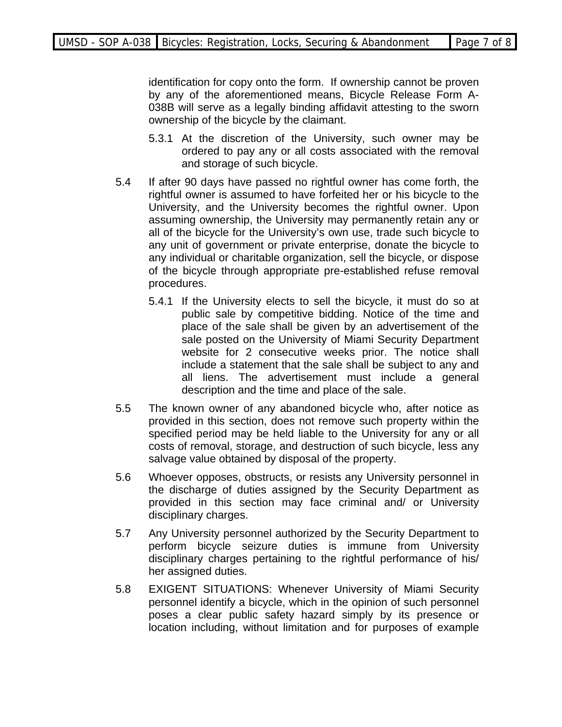identification for copy onto the form. If ownership cannot be proven by any of the aforementioned means, Bicycle Release Form A-038B will serve as a legally binding affidavit attesting to the sworn ownership of the bicycle by the claimant.

- 5.3.1 At the discretion of the University, such owner may be ordered to pay any or all costs associated with the removal and storage of such bicycle.
- 5.4 If after 90 days have passed no rightful owner has come forth, the rightful owner is assumed to have forfeited her or his bicycle to the University, and the University becomes the rightful owner. Upon assuming ownership, the University may permanently retain any or all of the bicycle for the University's own use, trade such bicycle to any unit of government or private enterprise, donate the bicycle to any individual or charitable organization, sell the bicycle, or dispose of the bicycle through appropriate pre-established refuse removal procedures.
	- 5.4.1 If the University elects to sell the bicycle, it must do so at public sale by competitive bidding. Notice of the time and place of the sale shall be given by an advertisement of the sale posted on the University of Miami Security Department website for 2 consecutive weeks prior. The notice shall include a statement that the sale shall be subject to any and all liens. The advertisement must include a general description and the time and place of the sale.
- 5.5 The known owner of any abandoned bicycle who, after notice as provided in this section, does not remove such property within the specified period may be held liable to the University for any or all costs of removal, storage, and destruction of such bicycle, less any salvage value obtained by disposal of the property.
- 5.6 Whoever opposes, obstructs, or resists any University personnel in the discharge of duties assigned by the Security Department as provided in this section may face criminal and/ or University disciplinary charges.
- 5.7 Any University personnel authorized by the Security Department to perform bicycle seizure duties is immune from University disciplinary charges pertaining to the rightful performance of his/ her assigned duties.
- 5.8 EXIGENT SITUATIONS: Whenever University of Miami Security personnel identify a bicycle, which in the opinion of such personnel poses a clear public safety hazard simply by its presence or location including, without limitation and for purposes of example